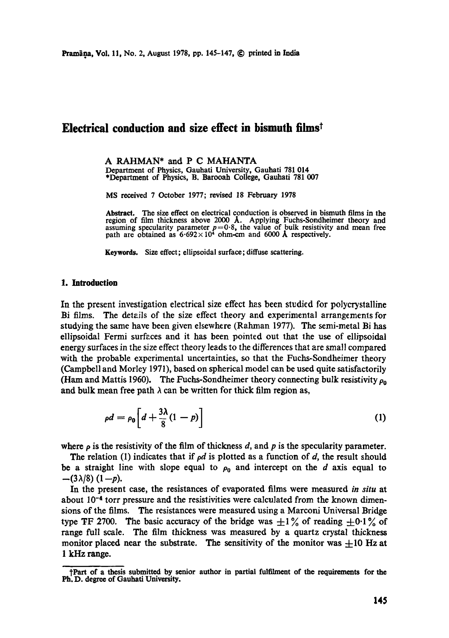## **Electrical conduction and size effect in bismuth filmst**

A RAHMAN\* and P C MAHANTA Department of Physics, Gauhati University, Gauhati 781 014 \*Department of Physics, B. Barooah College, Gauhati 781 007

MS received 7 October 1977; revised 18 February 1978

**Abstract.** The size effect on electrical conduction is observed in bismuth films in the region of film thickness above 2000 Å. Applying Fuchs-Sondheimer theory and assuming specularity parameter  $p=0.8$ , the value of bul

Keywords. Size effect; ellipsoidal surface;diffuse scattering.

## **1. Introduction**

In the present investigation electrical size effect has been stvdied for polycrystalline Bi films. The details of the size effect theory and experimental arrangemenls for studying the same have been given elsewhere (Rahman 1977). The semi-metal Bi has ellipsoidal Fermi surfaces and it has been pointed out that the use of ellipsoidai energy surfaces in the size effect theory leads to the differences that are small compared with the probable experimental uncertainties, so that the Fuchs-Sondheimer theory (Campbell and Morley 1971), based on spherical model can be used quite satisfactorily (Ham and Mattis 1960). The Fuchs-Sondheimer theory connecting bulk resistivity  $\rho_0$ and bulk mean free path  $\lambda$  can be written for thick film region as,

$$
\rho d = \rho_0 \left[ d + \frac{3\lambda}{8} (1 - p) \right] \tag{1}
$$

where  $\rho$  is the resistivity of the film of thickness d, and p is the specularity parameter.

The relation (1) indicates that if  $\rho d$  is plotted as a function of d, the result should be a straight line with slope equal to  $\rho_0$  and intercept on the d axis equal to  $-(3\lambda/8)(1-p).$ 

In the present case, the resistances of evaporated films were measured *in situ* at about  $10^{-4}$  torr pressure and the resistivities were calculated from the known dimensions of the films. The resistances were measured using a Marconi Universal Bridge type TF 2700. The basic accuracy of the bridge was  $\pm 1\%$  of reading  $\pm 0.1\%$  of range full scale. The film thickness was measured by a quartz crystal thickness monitor placed near the substrate. The sensitivity of the monitor was  $\pm 10$  Hz at 1 kHz range.

<sup>&</sup>quot;]'Part of a thesis submitted by senior author in partial fulfilment of the requirements for the Ph.D. degree of Gauhati University.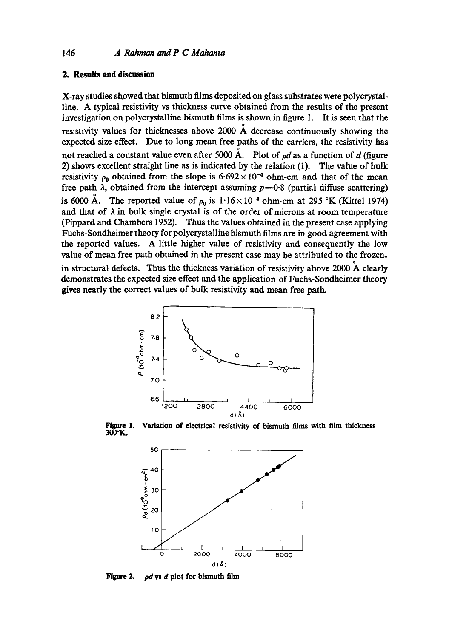## **2. Results and discussion**

X-ray studies showed that bismuth films deposited on glass substrates were polycrystalline. A typical resistivity vs thickness curve obtained from the results of the present investigation on polycrystalline bismuth films is shown in figure 1. It is seen that the resistivity values for thicknesses above 2000  $\AA$  decrease continuously showing the expected size effect. Due to long mean free paths of the carriers, the resistivity has not reached a constant value even after 5000 Å. Plot of  $\rho d$  as a function of d (figure 2) shows excellent straight line as is indicated by the relation (1). The value of bulk resistivity  $\rho_0$  obtained from the slope is 6.692 × 10<sup>-4</sup> ohm-cm and that of the mean free path  $\lambda$ , obtained from the intercept assuming  $p=0.8$  (partial diffuse scattering) is 6000 Å. The reported value of  $\rho_0$  is  $1.16 \times 10^{-4}$  ohm-cm at 295 °K (Kittel 1974) and that of  $\lambda$  in bulk single crystal is of the order of microns at room temperature (Pippard and Chambers 1952). Thus the values obtained in the present case applying Fuchs-Sondheimer theory for polycrystalline bismuth films are in good agreement with the reported values. A little higher value of resistivity and consequently the low value of mean free path obtained in the present case may be attributed to the frozen. in structural defects. Thus the thickness variation of resistivity above 2000 A clearly demonstrates the expected size effect and the application of Fuchs-Sondheimer theory gives nearly the correct values of bulk resistivity and mean free path.



**Figure 1. 300°K.**  Variation of electrical resistivity of bismuth films with film thickness



**Figure 2.**  *pdvsd* plot for bismuth film